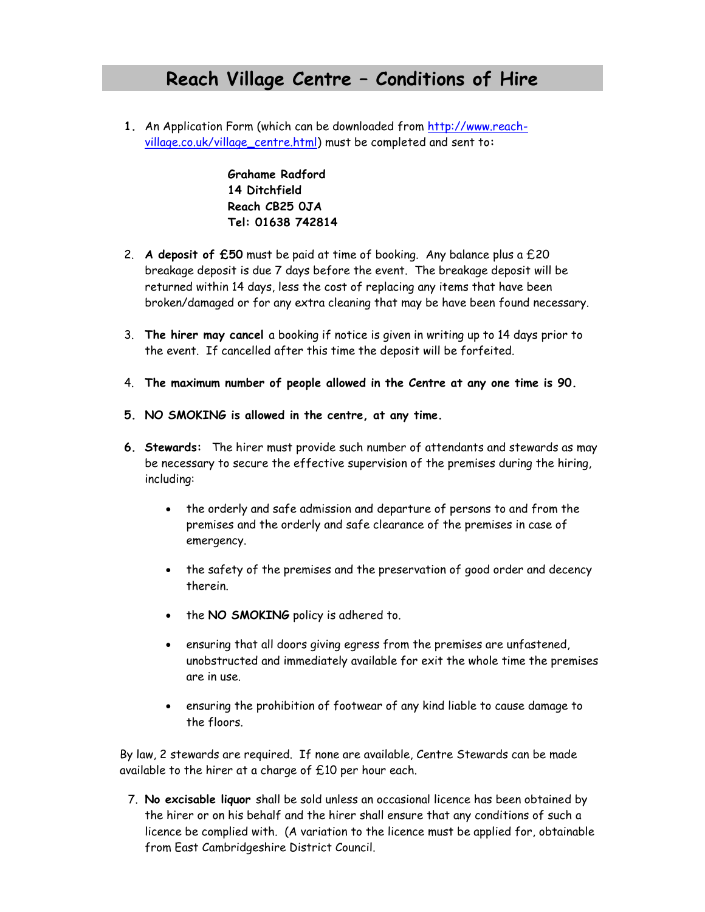## **Reach Village Centre – Conditions of Hire**

**1.** An Application Form (which can be downloaded from [http://www.reach](http://www.reach-village.co.uk/village_centre.html)[village.co.uk/village\\_centre.html\)](http://www.reach-village.co.uk/village_centre.html) must be completed and sent to**:**

> **Grahame Radford 14 Ditchfield Reach CB25 0JA Tel: 01638 742814**

- 2. **A deposit of £50** must be paid at time of booking. Any balance plus a £20 breakage deposit is due 7 days before the event. The breakage deposit will be returned within 14 days, less the cost of replacing any items that have been broken/damaged or for any extra cleaning that may be have been found necessary.
- 3. **The hirer may cancel** a booking if notice is given in writing up to 14 days prior to the event. If cancelled after this time the deposit will be forfeited.
- 4. **The maximum number of people allowed in the Centre at any one time is 90.**
- **5. NO SMOKING is allowed in the centre, at any time.**
- **6. Stewards:** The hirer must provide such number of attendants and stewards as may be necessary to secure the effective supervision of the premises during the hiring, including:
	- the orderly and safe admission and departure of persons to and from the premises and the orderly and safe clearance of the premises in case of emergency.
	- the safety of the premises and the preservation of good order and decency therein.
	- the **NO SMOKING** policy is adhered to.
	- ensuring that all doors giving egress from the premises are unfastened, unobstructed and immediately available for exit the whole time the premises are in use.
	- ensuring the prohibition of footwear of any kind liable to cause damage to the floors.

By law, 2 stewards are required. If none are available, Centre Stewards can be made available to the hirer at a charge of £10 per hour each.

7. **No excisable liquor** shall be sold unless an occasional licence has been obtained by the hirer or on his behalf and the hirer shall ensure that any conditions of such a licence be complied with. (A variation to the licence must be applied for, obtainable from East Cambridgeshire District Council.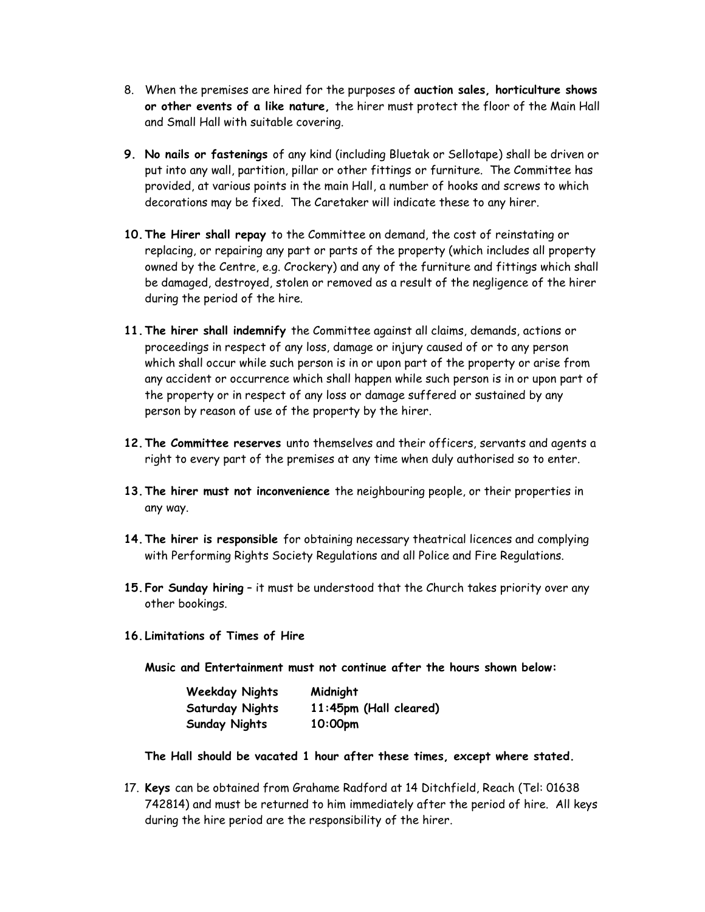- 8. When the premises are hired for the purposes of **auction sales, horticulture shows or other events of a like nature,** the hirer must protect the floor of the Main Hall and Small Hall with suitable covering.
- **9. No nails or fastenings** of any kind (including Bluetak or Sellotape) shall be driven or put into any wall, partition, pillar or other fittings or furniture. The Committee has provided, at various points in the main Hall, a number of hooks and screws to which decorations may be fixed. The Caretaker will indicate these to any hirer.
- **10.The Hirer shall repay** to the Committee on demand, the cost of reinstating or replacing, or repairing any part or parts of the property (which includes all property owned by the Centre, e.g. Crockery) and any of the furniture and fittings which shall be damaged, destroyed, stolen or removed as a result of the negligence of the hirer during the period of the hire.
- **11.The hirer shall indemnify** the Committee against all claims, demands, actions or proceedings in respect of any loss, damage or injury caused of or to any person which shall occur while such person is in or upon part of the property or arise from any accident or occurrence which shall happen while such person is in or upon part of the property or in respect of any loss or damage suffered or sustained by any person by reason of use of the property by the hirer.
- **12.The Committee reserves** unto themselves and their officers, servants and agents a right to every part of the premises at any time when duly authorised so to enter.
- **13.The hirer must not inconvenience** the neighbouring people, or their properties in any way.
- **14.The hirer is responsible** for obtaining necessary theatrical licences and complying with Performing Rights Society Regulations and all Police and Fire Regulations.
- **15.For Sunday hiring** it must be understood that the Church takes priority over any other bookings.
- **16. Limitations of Times of Hire**

**Music and Entertainment must not continue after the hours shown below:**

| <b>Weekday Nights</b>  | Midnight               |
|------------------------|------------------------|
| <b>Saturday Nights</b> | 11:45pm (Hall cleared) |
| <b>Sunday Nights</b>   | 10:00 <sub>pm</sub>    |

**The Hall should be vacated 1 hour after these times, except where stated.**

17. **Keys** can be obtained from Grahame Radford at 14 Ditchfield, Reach (Tel: 01638 742814) and must be returned to him immediately after the period of hire. All keys during the hire period are the responsibility of the hirer.